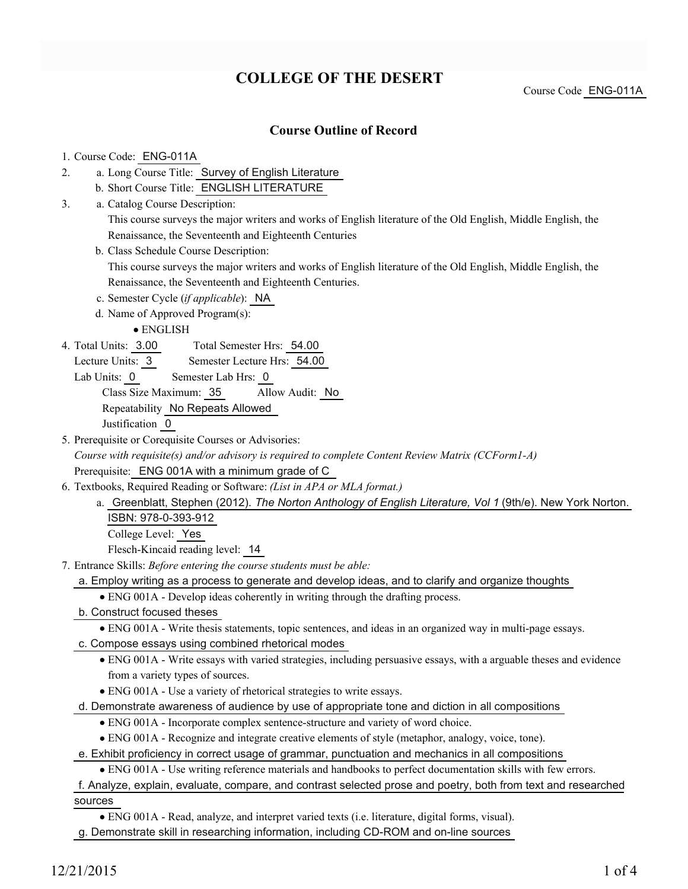# **COLLEGE OF THE DESERT**

Course Code ENG-011A

## **Course Outline of Record**

#### 1. Course Code: ENG-011A

- a. Long Course Title: Survey of English Literature 2.
	- b. Short Course Title: ENGLISH LITERATURE
- Catalog Course Description: a. 3.

This course surveys the major writers and works of English literature of the Old English, Middle English, the Renaissance, the Seventeenth and Eighteenth Centuries

b. Class Schedule Course Description:

This course surveys the major writers and works of English literature of the Old English, Middle English, the Renaissance, the Seventeenth and Eighteenth Centuries.

- c. Semester Cycle (*if applicable*): NA
- d. Name of Approved Program(s):

ENGLISH

Total Semester Hrs: 54.00 4. Total Units: 3.00

Lecture Units: 3 Semester Lecture Hrs: 54.00

Lab Units: 0 Semester Lab Hrs: 0

Class Size Maximum: 35 Allow Audit: No

Repeatability No Repeats Allowed

Justification 0

5. Prerequisite or Corequisite Courses or Advisories:

*Course with requisite(s) and/or advisory is required to complete Content Review Matrix (CCForm1-A)* Prerequisite: ENG 001A with a minimum grade of C

- Textbooks, Required Reading or Software: *(List in APA or MLA format.)* 6.
	- a. Greenblatt, Stephen (2012). The Norton Anthology of English Literature, Vol 1 (9th/e). New York Norton. ISBN: 978-0-393-912

College Level: Yes

Flesch-Kincaid reading level: 14

Entrance Skills: *Before entering the course students must be able:* 7.

a. Employ writing as a process to generate and develop ideas, and to clarify and organize thoughts

- ENG 001A Develop ideas coherently in writing through the drafting process.
- b. Construct focused theses

ENG 001A - Write thesis statements, topic sentences, and ideas in an organized way in multi-page essays.

- c. Compose essays using combined rhetorical modes
	- ENG 001A Write essays with varied strategies, including persuasive essays, with a arguable theses and evidence from a variety types of sources.
	- ENG 001A Use a variety of rhetorical strategies to write essays.

d. Demonstrate awareness of audience by use of appropriate tone and diction in all compositions

ENG 001A - Incorporate complex sentence-structure and variety of word choice.

ENG 001A - Recognize and integrate creative elements of style (metaphor, analogy, voice, tone).

e. Exhibit proficiency in correct usage of grammar, punctuation and mechanics in all compositions

ENG 001A - Use writing reference materials and handbooks to perfect documentation skills with few errors.

f. Analyze, explain, evaluate, compare, and contrast selected prose and poetry, both from text and researched sources

ENG 001A - Read, analyze, and interpret varied texts (i.e. literature, digital forms, visual).

g. Demonstrate skill in researching information, including CD-ROM and on-line sources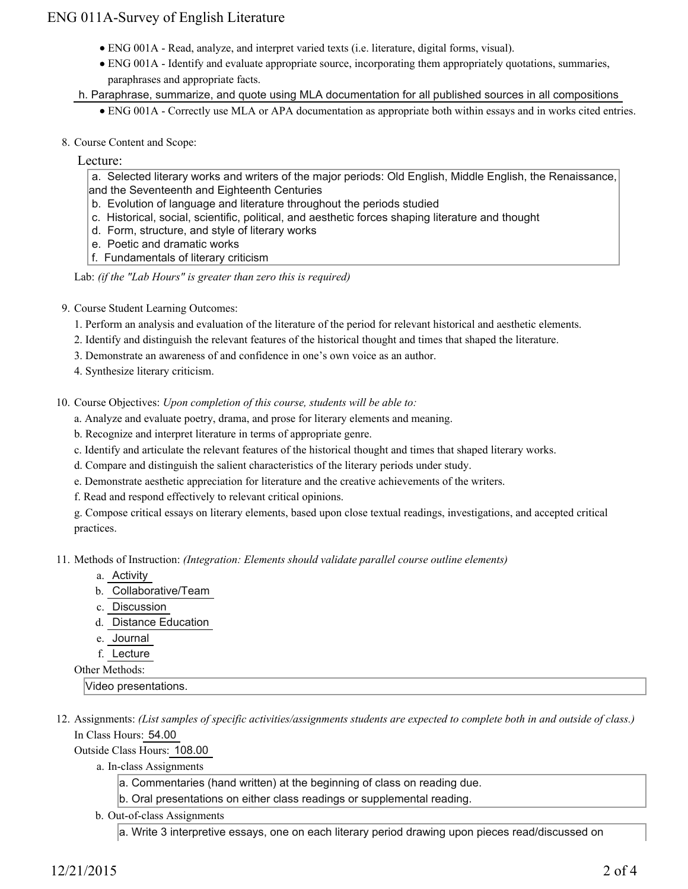## ENG 011A-Survey of English Literature

- ENG 001A Read, analyze, and interpret varied texts (i.e. literature, digital forms, visual).
- ENG 001A Identify and evaluate appropriate source, incorporating them appropriately quotations, summaries, paraphrases and appropriate facts.
- h. Paraphrase, summarize, and quote using MLA documentation for all published sources in all compositions
	- ENG 001A Correctly use MLA or APA documentation as appropriate both within essays and in works cited entries.
- 8. Course Content and Scope:

#### Lecture:

 a. Selected literary works and writers of the major periods: Old English, Middle English, the Renaissance, and the Seventeenth and Eighteenth Centuries

- b. Evolution of language and literature throughout the periods studied
- c. Historical, social, scientific, political, and aesthetic forces shaping literature and thought
- d. Form, structure, and style of literary works
- e. Poetic and dramatic works
- f. Fundamentals of literary criticism

Lab: *(if the "Lab Hours" is greater than zero this is required)*

9. Course Student Learning Outcomes:

1. Perform an analysis and evaluation of the literature of the period for relevant historical and aesthetic elements.

- 2. Identify and distinguish the relevant features of the historical thought and times that shaped the literature.
- 3. Demonstrate an awareness of and confidence in one's own voice as an author.
- 4. Synthesize literary criticism.

10. Course Objectives: Upon completion of this course, students will be able to:

- a. Analyze and evaluate poetry, drama, and prose for literary elements and meaning.
- b. Recognize and interpret literature in terms of appropriate genre.
- c. Identify and articulate the relevant features of the historical thought and times that shaped literary works.
- d. Compare and distinguish the salient characteristics of the literary periods under study.
- e. Demonstrate aesthetic appreciation for literature and the creative achievements of the writers.
- f. Read and respond effectively to relevant critical opinions.

g. Compose critical essays on literary elements, based upon close textual readings, investigations, and accepted critical practices.

11. Methods of Instruction: *(Integration: Elements should validate parallel course outline elements)* 

- a. Activity
- b. Collaborative/Team
- c. Discussion
- d. Distance Education
- e. Journal
- f. Lecture

Other Methods:

Video presentations.

12. Assignments: (List samples of specific activities/assignments students are expected to complete both in and outside of class.) In Class Hours: 54.00

Outside Class Hours: 108.00

a. In-class Assignments

a. Commentaries (hand written) at the beginning of class on reading due.

b. Oral presentations on either class readings or supplemental reading.

b. Out-of-class Assignments

a. Write 3 interpretive essays, one on each literary period drawing upon pieces read/discussed on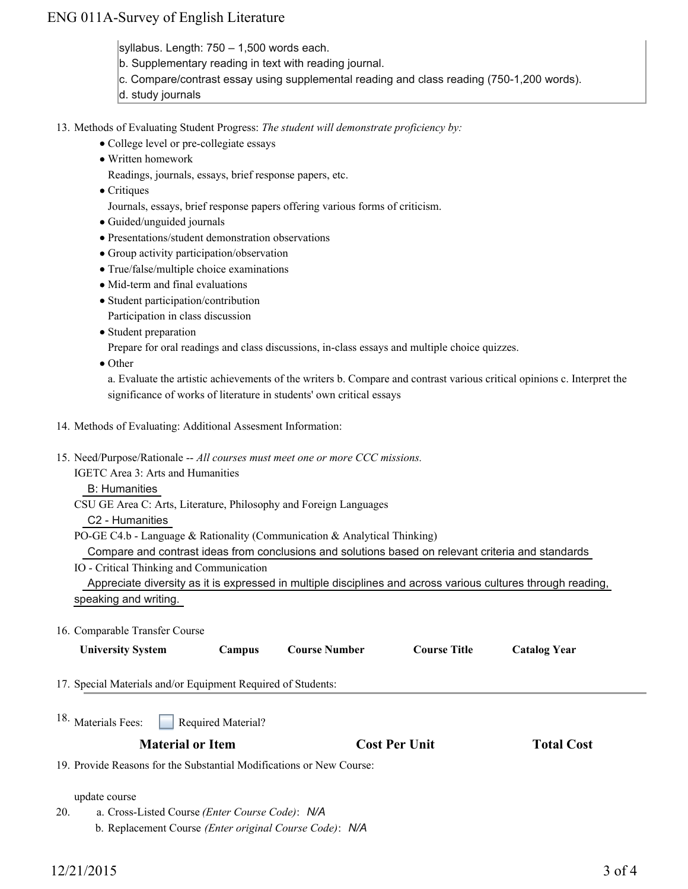## ENG 011A-Survey of English Literature

syllabus. Length: 750 – 1,500 words each.

- b. Supplementary reading in text with reading journal.
- c. Compare/contrast essay using supplemental reading and class reading (750-1,200 words).
- d. study journals
- 13. Methods of Evaluating Student Progress: The student will demonstrate proficiency by:
	- College level or pre-collegiate essays
	- Written homework

Readings, journals, essays, brief response papers, etc.

• Critiques

Journals, essays, brief response papers offering various forms of criticism.

- Guided/unguided journals
- Presentations/student demonstration observations
- Group activity participation/observation
- True/false/multiple choice examinations
- Mid-term and final evaluations
- Student participation/contribution
	- Participation in class discussion
- Student preparation

Prepare for oral readings and class discussions, in-class essays and multiple choice quizzes.

• Other

a. Evaluate the artistic achievements of the writers b. Compare and contrast various critical opinions c. Interpret the significance of works of literature in students' own critical essays

#### 14. Methods of Evaluating: Additional Assesment Information:

15. Need/Purpose/Rationale -- All courses must meet one or more CCC missions.

IGETC Area 3: Arts and Humanities

B: Humanities

CSU GE Area C: Arts, Literature, Philosophy and Foreign Languages

#### C2 - Humanities

PO-GE C4.b - Language & Rationality (Communication & Analytical Thinking)

Compare and contrast ideas from conclusions and solutions based on relevant criteria and standards

IO - Critical Thinking and Communication

 Appreciate diversity as it is expressed in multiple disciplines and across various cultures through reading, speaking and writing.

### 16. Comparable Transfer Course

| <b>University System</b> | Campus | <b>Course Number</b> | <b>Course Title</b> | <b>Catalog Year</b> |
|--------------------------|--------|----------------------|---------------------|---------------------|
|                          |        |                      |                     |                     |

- 17. Special Materials and/or Equipment Required of Students:
- Required Material? 18. Materials Fees:

## **Material or Item Cost Per Unit Total Cost**

19. Provide Reasons for the Substantial Modifications or New Course:

#### update course

a. Cross-Listed Course *(Enter Course Code)*: *N/A* 20.

b. Replacement Course *(Enter original Course Code)*: *N/A*